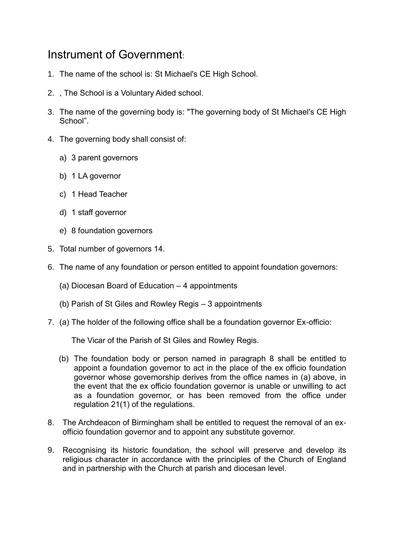## Instrument of Government:

- 1. The name of the school is: St Michael's CE High School.
- 2. , The School is a Voluntary Aided school.
- 3. The name of the governing body is: "The governing body of St Michael's CE High School".
- 4. The governing body shall consist of:
	- a) 3 parent governors
	- b) 1 LA governor
	- c) 1 Head Teacher
	- d) 1 staff governor
	- e) 8 foundation governors
- 5. Total number of governors 14.
- 6. The name of any foundation or person entitled to appoint foundation governors:
	- (a) Diocesan Board of Education 4 appointments
	- (b) Parish of St Giles and Rowley Regis 3 appointments
- 7. (a) The holder of the following office shall be a foundation governor Ex-officio:

The Vicar of the Parish of St Giles and Rowley Regis.

- (b) The foundation body or person named in paragraph 8 shall be entitled to appoint a foundation governor to act in the place of the ex officio foundation governor whose governorship derives from the office names in (a) above, in the event that the ex officio foundation governor is unable or unwilling to act as a foundation governor, or has been removed from the office under regulation 21(1) of the regulations.
- 8. The Archdeacon of Birmingham shall be entitled to request the removal of an exofficio foundation governor and to appoint any substitute governor.
- 9. Recognising its historic foundation, the school will preserve and develop its religious character in accordance with the principles of the Church of England and in partnership with the Church at parish and diocesan level.